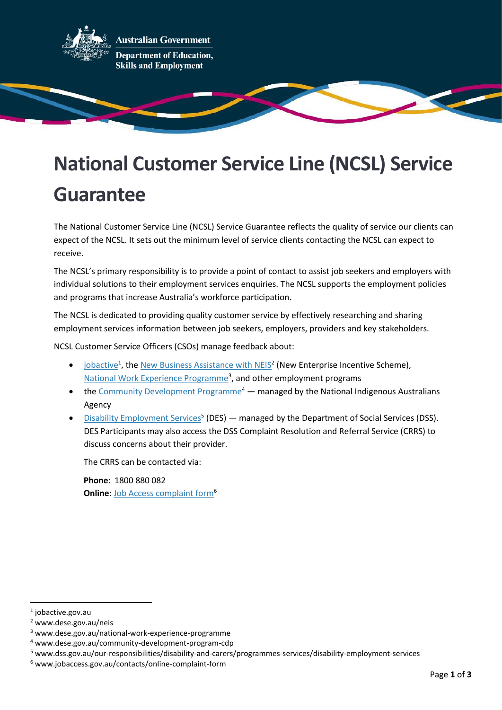

**Australian Government Department of Education, Skills and Employment** 

# **National Customer Service Line (NCSL) Service Guarantee**

The National Customer Service Line (NCSL) Service Guarantee reflects the quality of service our clients can expect of the NCSL. It sets out the minimum level of service clients contacting the NCSL can expect to receive.

The NCSL's primary responsibility is to provide a point of contact to assist job seekers and employers with individual solutions to their employment services enquiries. The NCSL supports the employment policies and programs that increase Australia's workforce participation.

The NCSL is dedicated to providing quality customer service by effectively researching and sharing employment services information between job seekers, employers, providers and key stakeholders.

NCSL Customer Service Officers (CSOs) manage feedback about:

- [jobactive](https://jobactive.gov.au/)<sup>1</sup>, th[e New Business Assistance with NEIS](http://www.dese.gov.au/neis)<sup>2</sup> (New Enterprise Incentive Scheme), National [Work Experience Programme](http://www.dese.gov.au/national-work-experience-programme)<sup>3</sup>, and other employment programs
- the [Community Development Programme](http://www.dese.gov.au/community-development-program-cdp)<sup>4</sup> managed by the National Indigenous Australians Agency
- [Disability Employment Services](https://www.dss.gov.au/our-responsibilities/disability-and-carers/programmes-services/disability-employment-services)<sup>5</sup> (DES) managed by the Department of Social Services (DSS). DES Participants may also access the DSS Complaint Resolution and Referral Service (CRRS) to discuss concerns about their provider.

The CRRS can be contacted via:

**Phone**: 1800 880 082 **Online: [Job Access complaint form](http://www.jobaccess.gov.au/contacts/online-complaint-form)<sup>6</sup>** 

<sup>1</sup> jobactive.gov.au

<sup>2</sup> www.dese.gov.au/neis

<sup>3</sup> www.dese.gov.au/national-work-experience-programme

<sup>4</sup> www.dese.gov.au/community-development-program-cdp

<sup>5</sup> www.dss.gov.au/our-responsibilities/disability-and-carers/programmes-services/disability-employment-services

<sup>6</sup> www.jobaccess.gov.au/contacts/online-complaint-form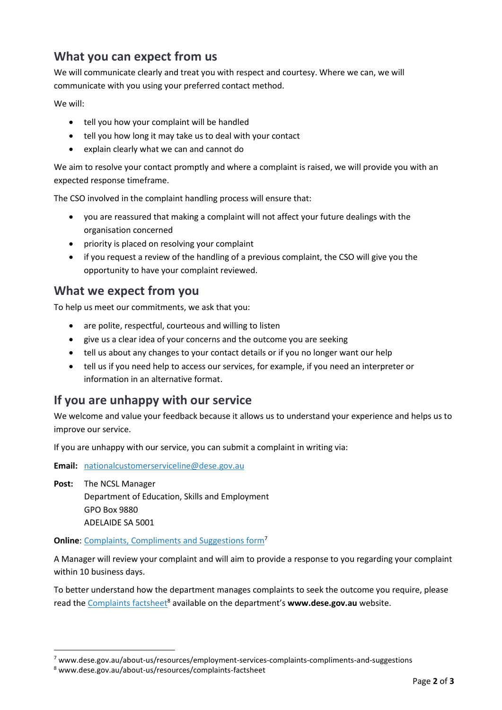### **What you can expect from us**

We will communicate clearly and treat you with respect and courtesy. Where we can, we will communicate with you using your preferred contact method.

We will:

- tell you how your complaint will be handled
- tell you how long it may take us to deal with your contact
- explain clearly what we can and cannot do

We aim to resolve your contact promptly and where a complaint is raised, we will provide you with an expected response timeframe.

The CSO involved in the complaint handling process will ensure that:

- you are reassured that making a complaint will not affect your future dealings with the organisation concerned
- priority is placed on resolving your complaint
- if you request a review of the handling of a previous complaint, the CSO will give you the opportunity to have your complaint reviewed.

#### **What we expect from you**

To help us meet our commitments, we ask that you:

- are polite, respectful, courteous and willing to listen
- give us a clear idea of your concerns and the outcome you are seeking
- tell us about any changes to your contact details or if you no longer want our help
- tell us if you need help to access our services, for example, if you need an interpreter or information in an alternative format.

#### **If you are unhappy with our service**

We welcome and value your feedback because it allows us to understand your experience and helps us to improve our service.

If you are unhappy with our service, you can submit a complaint in writing via:

**Email:** [nationalcustomerserviceline@dese.gov.au](mailto:nationalcustomerserviceline@dese.gov.au)

**Post:** The NCSL Manager Department of Education, Skills and Employment GPO Box 9880 ADELAIDE SA 5001

**Online**: [Complaints, Compliments and Suggestions form](https://www.dese.gov.au/about-us/resources/employment-services-complaints-compliments-and-suggestions)<sup>7</sup>

A Manager will review your complaint and will aim to provide a response to you regarding your complaint within 10 business days.

To better understand how the department manages complaints to seek the outcome you require, please read the [Complaints factsheet](https://www.dese.gov.au/about-us/resources/complaints-factsheet)<sup>8</sup> available on the department's **www.dese.gov.au** website.

 $7$  www.dese.gov.au/about-us/resources/employment-services-complaints-compliments-and-suggestions

<sup>8</sup> www.dese.gov.au/about-us/resources/complaints-factsheet